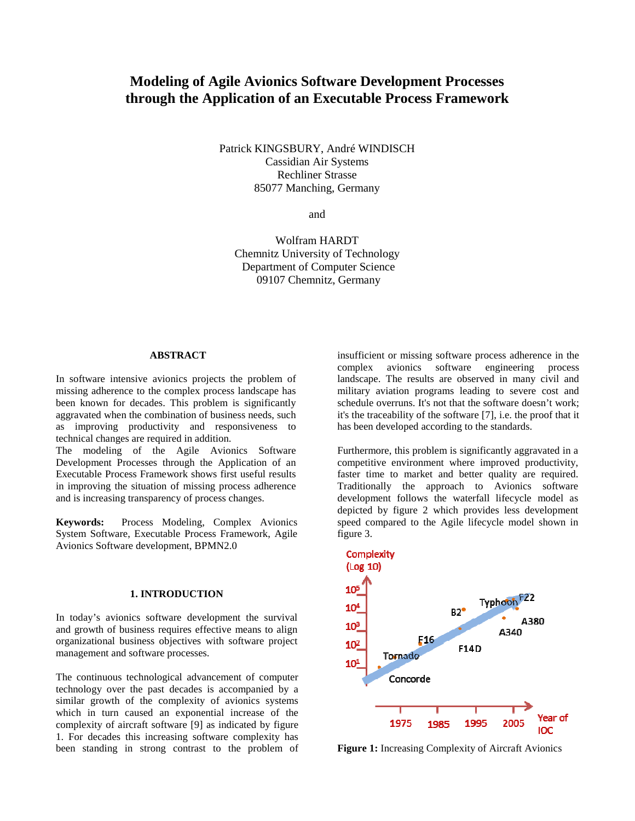# **Modeling of Agile Avionics Software Development Processes through the Application of an Executable Process Framework**

Patrick KINGSBURY, André WINDISCH Cassidian Air Systems Rechliner Strasse 85077 Manching, Germany

and

Wolfram HARDT Chemnitz University of Technology Department of Computer Science 09107 Chemnitz, Germany

#### **ABSTRACT**

In software intensive avionics projects the problem of missing adherence to the complex process landscape has been known for decades. This problem is significantly aggravated when the combination of business needs, such as improving productivity and responsiveness to technical changes are required in addition.

The modeling of the Agile Avionics Software Development Processes through the Application of an Executable Process Framework shows first useful results in improving the situation of missing process adherence and is increasing transparency of process changes.

**Keywords:** Process Modeling, Complex Avionics System Software, Executable Process Framework, Agile Avionics Software development, BPMN2.0

## **1. INTRODUCTION**

In today's avionics software development the survival and growth of business requires effective means to align organizational business objectives with software project management and software processes.

The continuous technological advancement of computer technology over the past decades is accompanied by a similar growth of the complexity of avionics systems which in turn caused an exponential increase of the complexity of aircraft software [9] as indicated by figure 1. For decades this increasing software complexity has been standing in strong contrast to the problem of insufficient or missing software process adherence in the complex avionics software engineering process landscape. The results are observed in many civil and military aviation programs leading to severe cost and schedule overruns. It's not that the software doesn't work; it's the traceability of the software [7], i.e. the proof that it has been developed according to the standards.

Furthermore, this problem is significantly aggravated in a competitive environment where improved productivity, faster time to market and better quality are required. Traditionally the approach to Avionics software development follows the waterfall lifecycle model as depicted by figure 2 which provides less development speed compared to the Agile lifecycle model shown in figure 3.



**Figure 1:** Increasing Complexity of Aircraft Avionics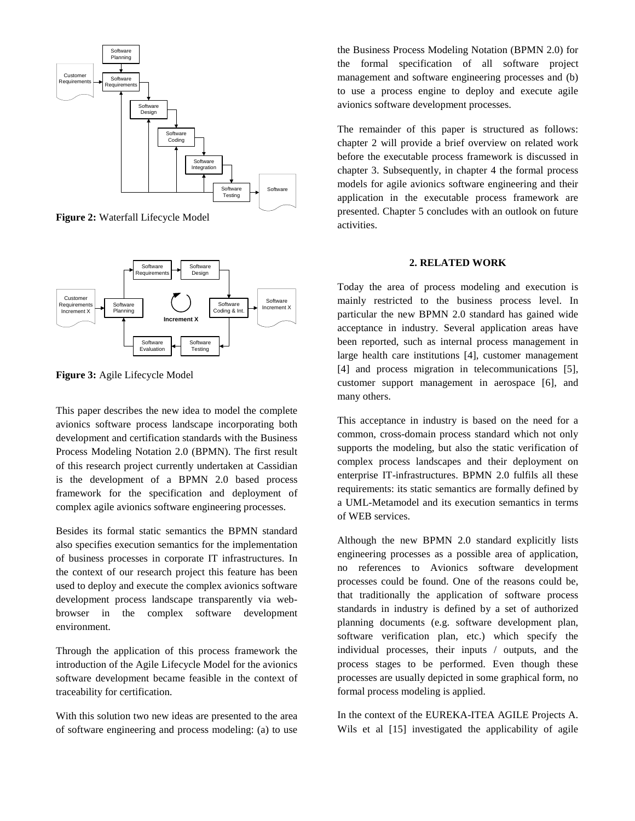

**Figure 2:** Waterfall Lifecycle Model



**Figure 3:** Agile Lifecycle Model

This paper describes the new idea to model the complete avionics software process landscape incorporating both development and certification standards with the Business Process Modeling Notation 2.0 (BPMN). The first result of this research project currently undertaken at Cassidian is the development of a BPMN 2.0 based process framework for the specification and deployment of complex agile avionics software engineering processes.

Besides its formal static semantics the BPMN standard also specifies execution semantics for the implementation of business processes in corporate IT infrastructures. In the context of our research project this feature has been used to deploy and execute the complex avionics software development process landscape transparently via webbrowser in the complex software development environment.

Through the application of this process framework the introduction of the Agile Lifecycle Model for the avionics software development became feasible in the context of traceability for certification.

With this solution two new ideas are presented to the area of software engineering and process modeling: (a) to use the Business Process Modeling Notation (BPMN 2.0) for the formal specification of all software project management and software engineering processes and (b) to use a process engine to deploy and execute agile avionics software development processes.

The remainder of this paper is structured as follows: chapter 2 will provide a brief overview on related work before the executable process framework is discussed in chapter 3. Subsequently, in chapter 4 the formal process models for agile avionics software engineering and their application in the executable process framework are presented. Chapter 5 concludes with an outlook on future activities.

#### **2. RELATED WORK**

Today the area of process modeling and execution is mainly restricted to the business process level. In particular the new BPMN 2.0 standard has gained wide acceptance in industry. Several application areas have been reported, such as internal process management in large health care institutions [4], customer management [4] and process migration in telecommunications [5], customer support management in aerospace [6], and many others.

This acceptance in industry is based on the need for a common, cross-domain process standard which not only supports the modeling, but also the static verification of complex process landscapes and their deployment on enterprise IT-infrastructures. BPMN 2.0 fulfils all these requirements: its static semantics are formally defined by a UML-Metamodel and its execution semantics in terms of WEB services.

Although the new BPMN 2.0 standard explicitly lists engineering processes as a possible area of application, no references to Avionics software development processes could be found. One of the reasons could be, that traditionally the application of software process standards in industry is defined by a set of authorized planning documents (e.g. software development plan, software verification plan, etc.) which specify the individual processes, their inputs / outputs, and the process stages to be performed. Even though these processes are usually depicted in some graphical form, no formal process modeling is applied.

In the context of the EUREKA-ITEA AGILE Projects A. Wils et al [15] investigated the applicability of agile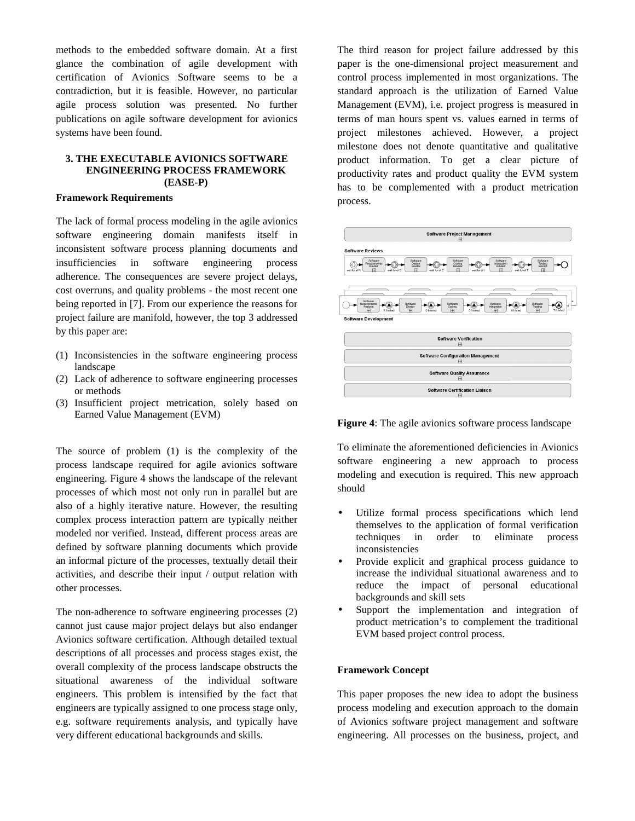methods to the embedded software domain. At a first glance the combination of agile development with certification of Avionics Software seems to be a contradiction, but it is feasible. However, no particular agile process solution was presented. No further publications on agile software development for avionics systems have been found.

#### **3. THE EXECUTABLE AVIONICS SOFTWARE ENGINEERING PROCESS FRAMEWORK (EASE-P)**

#### **Framework Requirements**

The lack of formal process modeling in the agile avionics software engineering domain manifests itself in inconsistent software process planning documents and insufficiencies in software engineering process adherence. The consequences are severe project delays, cost overruns, and quality problems - the most recent one being reported in [7]. From our experience the reasons for project failure are manifold, however, the top 3 addressed by this paper are:

- (1) Inconsistencies in the software engineering process landscape
- (2) Lack of adherence to software engineering processes or methods
- (3) Insufficient project metrication, solely based on Earned Value Management (EVM)

The source of problem (1) is the complexity of the process landscape required for agile avionics software engineering. Figure 4 shows the landscape of the relevant processes of which most not only run in parallel but are also of a highly iterative nature. However, the resulting complex process interaction pattern are typically neither modeled nor verified. Instead, different process areas are defined by software planning documents which provide an informal picture of the processes, textually detail their activities, and describe their input / output relation with other processes.

The non-adherence to software engineering processes (2) cannot just cause major project delays but also endanger Avionics software certification. Although detailed textual descriptions of all processes and process stages exist, the overall complexity of the process landscape obstructs the situational awareness of the individual software engineers. This problem is intensified by the fact that engineers are typically assigned to one process stage only, e.g. software requirements analysis, and typically have very different educational backgrounds and skills.

The third reason for project failure addressed by this paper is the one-dimensional project measurement and control process implemented in most organizations. The standard approach is the utilization of Earned Value Management (EVM), i.e. project progress is measured in terms of man hours spent vs. values earned in terms of project milestones achieved. However, a project milestone does not denote quantitative and qualitative product information. To get a clear picture of productivity rates and product quality the EVM system has to be complemented with a product metrication process.



**Figure 4**: The agile avionics software process landscape

To eliminate the aforementioned deficiencies in Avionics software engineering a new approach to process modeling and execution is required. This new approach should

- Utilize formal process specifications which lend themselves to the application of formal verification techniques in order to eliminate process inconsistencies
- Provide explicit and graphical process guidance to increase the individual situational awareness and to reduce the impact of personal educational backgrounds and skill sets
- Support the implementation and integration of product metrication's to complement the traditional EVM based project control process.

## **Framework Concept**

This paper proposes the new idea to adopt the business process modeling and execution approach to the domain of Avionics software project management and software engineering. All processes on the business, project, and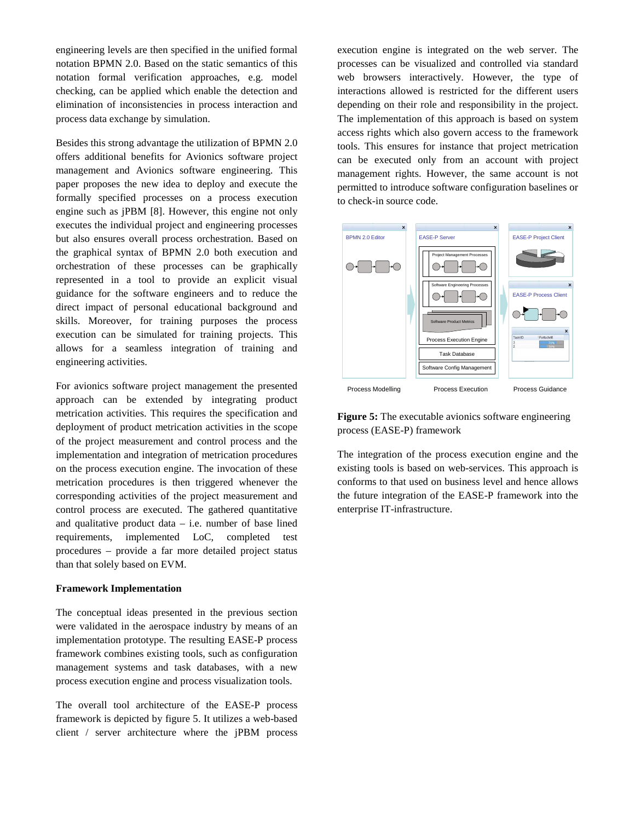engineering levels are then specified in the unified formal notation BPMN 2.0. Based on the static semantics of this notation formal verification approaches, e.g. model checking, can be applied which enable the detection and elimination of inconsistencies in process interaction and process data exchange by simulation.

Besides this strong advantage the utilization of BPMN 2.0 offers additional benefits for Avionics software project management and Avionics software engineering. This paper proposes the new idea to deploy and execute the formally specified processes on a process execution engine such as jPBM [8]. However, this engine not only executes the individual project and engineering processes but also ensures overall process orchestration. Based on the graphical syntax of BPMN 2.0 both execution and orchestration of these processes can be graphically represented in a tool to provide an explicit visual guidance for the software engineers and to reduce the direct impact of personal educational background and skills. Moreover, for training purposes the process execution can be simulated for training projects. This allows for a seamless integration of training and engineering activities.

For avionics software project management the presented approach can be extended by integrating product metrication activities. This requires the specification and deployment of product metrication activities in the scope of the project measurement and control process and the implementation and integration of metrication procedures on the process execution engine. The invocation of these metrication procedures is then triggered whenever the corresponding activities of the project measurement and control process are executed. The gathered quantitative and qualitative product data – i.e. number of base lined requirements, implemented LoC, completed test procedures – provide a far more detailed project status than that solely based on EVM.

#### **Framework Implementation**

The conceptual ideas presented in the previous section were validated in the aerospace industry by means of an implementation prototype. The resulting EASE-P process framework combines existing tools, such as configuration management systems and task databases, with a new process execution engine and process visualization tools.

The overall tool architecture of the EASE-P process framework is depicted by figure 5. It utilizes a web-based client / server architecture where the jPBM process execution engine is integrated on the web server. The processes can be visualized and controlled via standard web browsers interactively. However, the type of interactions allowed is restricted for the different users depending on their role and responsibility in the project. The implementation of this approach is based on system access rights which also govern access to the framework tools. This ensures for instance that project metrication can be executed only from an account with project management rights. However, the same account is not permitted to introduce software configuration baselines or to check-in source code.



Figure 5: The executable avionics software engineering process (EASE-P) framework

The integration of the process execution engine and the existing tools is based on web-services. This approach is conforms to that used on business level and hence allows the future integration of the EASE-P framework into the enterprise IT-infrastructure.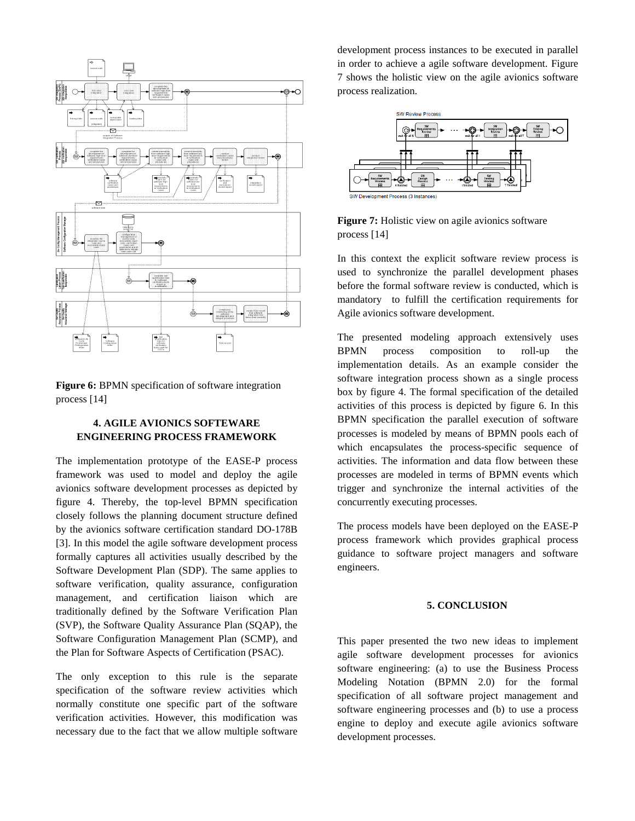

**Figure 6:** BPMN specification of software integration process [14]

## **4. AGILE AVIONICS SOFTEWARE ENGINEERING PROCESS FRAMEWORK**

The implementation prototype of the EASE-P process framework was used to model and deploy the agile avionics software development processes as depicted by figure 4. Thereby, the top-level BPMN specification closely follows the planning document structure defined by the avionics software certification standard DO-178B [3]. In this model the agile software development process formally captures all activities usually described by the Software Development Plan (SDP). The same applies to software verification, quality assurance, configuration management, and certification liaison which are traditionally defined by the Software Verification Plan (SVP), the Software Quality Assurance Plan (SQAP), the Software Configuration Management Plan (SCMP), and the Plan for Software Aspects of Certification (PSAC).

The only exception to this rule is the separate specification of the software review activities which normally constitute one specific part of the software verification activities. However, this modification was necessary due to the fact that we allow multiple software development process instances to be executed in parallel in order to achieve a agile software development. Figure 7 shows the holistic view on the agile avionics software process realization.





In this context the explicit software review process is used to synchronize the parallel development phases before the formal software review is conducted, which is mandatory to fulfill the certification requirements for Agile avionics software development.

The presented modeling approach extensively uses BPMN process composition to roll-up the implementation details. As an example consider the software integration process shown as a single process box by figure 4. The formal specification of the detailed activities of this process is depicted by figure 6. In this BPMN specification the parallel execution of software processes is modeled by means of BPMN pools each of which encapsulates the process-specific sequence of activities. The information and data flow between these processes are modeled in terms of BPMN events which trigger and synchronize the internal activities of the concurrently executing processes.

The process models have been deployed on the EASE-P process framework which provides graphical process guidance to software project managers and software engineers.

## **5. CONCLUSION**

This paper presented the two new ideas to implement agile software development processes for avionics software engineering: (a) to use the Business Process Modeling Notation (BPMN 2.0) for the formal specification of all software project management and software engineering processes and (b) to use a process engine to deploy and execute agile avionics software development processes.